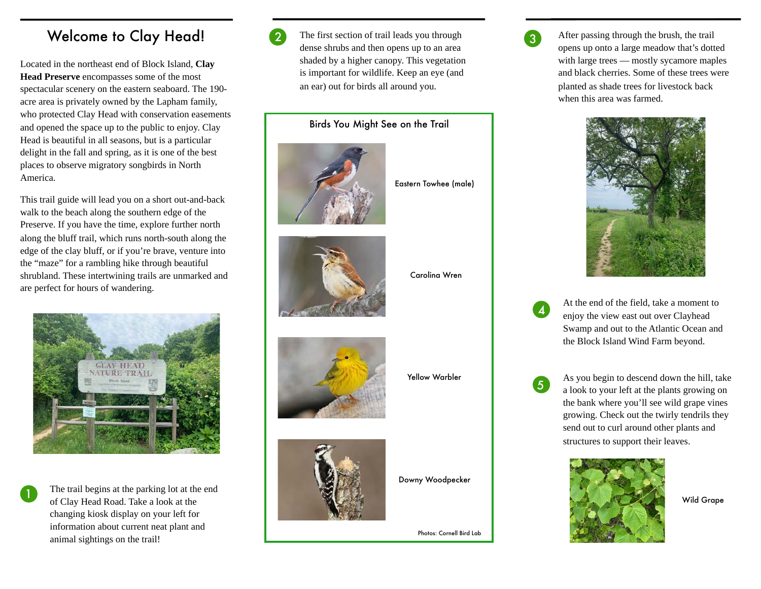## Welcome to Clay Head!

Located in the northeast end of Block Island, **Clay Head Preserve** encompasses some of the most spectacular scenery on the eastern seaboard. The 190 acre area is privately owned by the Lapham family, who protected Clay Head with conservation easements and opened the space up to the public to enjoy. Clay Head is beautiful in all seasons, but is a particular delight in the fall and spring, as it is one of the best places to observe migratory songbirds in North America.

This trail guide will lead you on a short out-and-back walk to the beach along the southern edge of the Preserve. If you have the time, explore further north along the bluff trail, which runs north-south along the edge of the clay bluff, or if you're brave, venture into the "maze" for a rambling hike through beautiful shrubland. These intertwining trails are unmarked and are perfect for hours of wandering.



The trail begins at the parking lot at the end of Clay Head Road. Take a look at the changing kiosk display on your left for information about current neat plant and animal sightings on the trail!



The first section of trail leads you through dense shrubs and then opens up to an area shaded by a higher canopy. This vegetation is important for wildlife. Keep an eye (and an ear) out for birds all around you.

Birds You Might See on the Trail



Eastern Towhee (male)



Carolina Wren



Yellow Warbler



Downy Woodpecker

Photos: Cornell Bird Lab

After passing through the brush, the trail opens up onto a large meadow that's dotted with large trees — mostly sycamore maples and black cherries. Some of these trees were planted as shade trees for livestock back when this area was farmed.



3

At the end of the field, take a moment to enjoy the view east out over Clayhead Swamp and out to the Atlantic Ocean and the Block Island Wind Farm beyond.

<sup>5</sup> As you begin to descend down the hill, take a look to your left at the plants growing on the bank where you'll see wild grape vines growing. Check out the twirly tendrils they send out to curl around other plants and structures to support their leaves.



Wild Grape